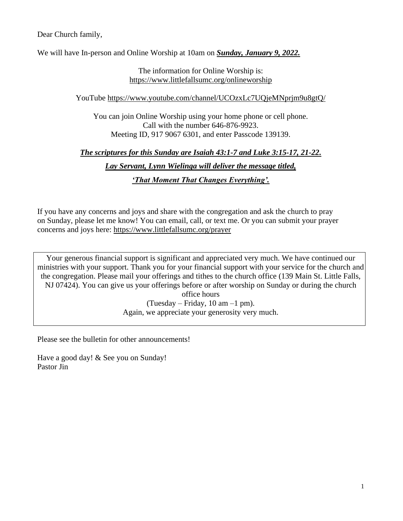Dear Church family,

We will have In-person and Online Worship at 10am on *Sunday, January 9, 2022.*

The information for Online Worship is: <https://www.littlefallsumc.org/onlineworship>

YouTube<https://www.youtube.com/channel/UCOzxLc7UQjeMNprjm9u8gtQ/>

You can join Online Worship using your home phone or cell phone. Call with the number 646-876-9923. Meeting ID, 917 9067 6301, and enter Passcode 139139.

## *The scriptures for this Sunday are Isaiah 43:1-7 and Luke 3:15-17, 21-22.*

*Lay Servant, Lynn Wielinga will deliver the message titled,*

*'That Moment That Changes Everything'.*

If you have any concerns and joys and share with the congregation and ask the church to pray on Sunday, please let me know! You can email, call, or text me. Or you can submit your prayer concerns and joys here: <https://www.littlefallsumc.org/prayer>

Your generous financial support is significant and appreciated very much. We have continued our ministries with your support. Thank you for your financial support with your service for the church and the congregation. Please mail your offerings and tithes to the church office (139 Main St. Little Falls, NJ 07424). You can give us your offerings before or after worship on Sunday or during the church office hours (Tuesday – Friday, 10 am –1 pm). Again, we appreciate your generosity very much.

Please see the bulletin for other announcements!

Have a good day! & See you on Sunday! Pastor Jin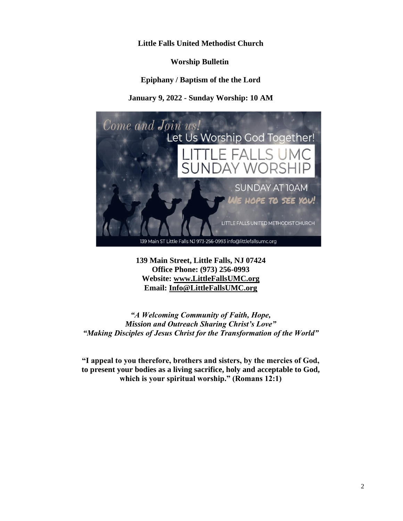### **Little Falls United Methodist Church**

**Worship Bulletin**

**Epiphany / Baptism of the the Lord**

**January 9, 2022 - Sunday Worship: 10 AM**



**139 Main Street, Little Falls, NJ 07424 Office Phone: (973) 256-0993 Website: [www.LittleFallsUMC.org](http://www.littlefallsumc.org/) Email: [Info@LittleFallsUMC.org](mailto:Info@LittleFallsUMC.org)**

*"A Welcoming Community of Faith, Hope, Mission and Outreach Sharing Christ's Love" "Making Disciples of Jesus Christ for the Transformation of the World"*

**"I appeal to you therefore, brothers and sisters, by the mercies of God, to present your bodies as a living sacrifice, holy and acceptable to God, which is your spiritual worship." (Romans 12:1)**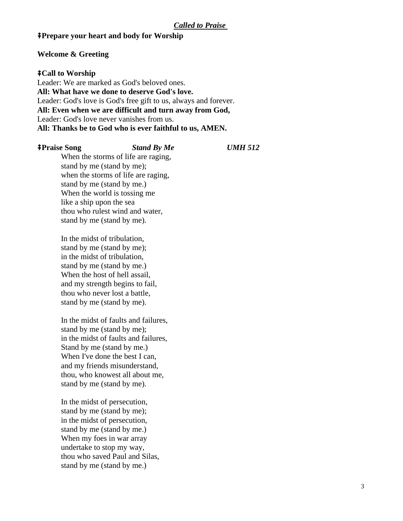## ⭻**Prepare your heart and body for Worship**

#### **Welcome & Greeting**

## ⭻**Call to Worship**

Leader: We are marked as God's beloved ones. **All: What have we done to deserve God's love.** Leader: God's love is God's free gift to us, always and forever. **All: Even when we are difficult and turn away from God,** Leader: God's love never vanishes from us. **All: Thanks be to God who is ever faithful to us, AMEN.**

| <b>‡Praise Song</b>        | <b>Stand By Me</b>                  | <b>UMH 512</b> |
|----------------------------|-------------------------------------|----------------|
|                            | When the storms of life are raging, |                |
| stand by me (stand by me); |                                     |                |
|                            | when the storms of life are raging, |                |
| stand by me (stand by me.) |                                     |                |
|                            | When the world is tossing me        |                |
| like a ship upon the sea   |                                     |                |

stand by me (stand by me). In the midst of tribulation, stand by me (stand by me); in the midst of tribulation,

thou who rulest wind and water,

stand by me (stand by me.) When the host of hell assail, and my strength begins to fail, thou who never lost a battle, stand by me (stand by me).

In the midst of faults and failures, stand by me (stand by me); in the midst of faults and failures, Stand by me (stand by me.) When I've done the best I can, and my friends misunderstand, thou, who knowest all about me, stand by me (stand by me).

In the midst of persecution, stand by me (stand by me); in the midst of persecution, stand by me (stand by me.) When my foes in war array undertake to stop my way, thou who saved Paul and Silas, stand by me (stand by me.)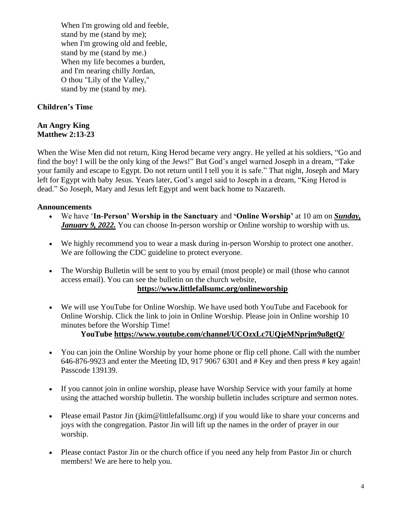When I'm growing old and feeble, stand by me (stand by me); when I'm growing old and feeble, stand by me (stand by me.) When my life becomes a burden, and I'm nearing chilly Jordan, O thou "Lily of the Valley," stand by me (stand by me).

# **Children's Time**

### **An Angry King Matthew 2:13-23**

When the Wise Men did not return, King Herod became very angry. He yelled at his soldiers, "Go and find the boy! I will be the only king of the Jews!" But God's angel warned Joseph in a dream, "Take your family and escape to Egypt. Do not return until I tell you it is safe." That night, Joseph and Mary left for Egypt with baby Jesus. Years later, God's angel said to Joseph in a dream, "King Herod is dead." So Joseph, Mary and Jesus left Egypt and went back home to Nazareth.

## **Announcements**

- We have '**In-Person' Worship in the Sanctuary** and **'Online Worship'** at 10 am on *Sunday, January 9, 2022.* You can choose In-person worship or Online worship to worship with us.
- We highly recommend you to wear a mask during in-person Worship to protect one another. We are following the CDC guideline to protect everyone.
- The Worship Bulletin will be sent to you by email (most people) or mail (those who cannot access email). You can see the bulletin on the church website,

### **<https://www.littlefallsumc.org/onlineworship>**

• We will use YouTube for Online Worship. We have used both YouTube and Facebook for Online Worship. Click the link to join in Online Worship. Please join in Online worship 10 minutes before the Worship Time!

### **YouTube<https://www.youtube.com/channel/UCOzxLc7UQjeMNprjm9u8gtQ/>**

- You can join the Online Worship by your home phone or flip cell phone. Call with the number 646-876-9923 and enter the Meeting ID, 917 9067 6301 and # Key and then press # key again! Passcode 139139.
- If you cannot join in online worship, please have Worship Service with your family at home using the attached worship bulletin. The worship bulletin includes scripture and sermon notes.
- Please email Pastor Jin (jkim@littlefallsumc.org) if you would like to share your concerns and joys with the congregation. Pastor Jin will lift up the names in the order of prayer in our worship.
- Please contact Pastor Jin or the church office if you need any help from Pastor Jin or church members! We are here to help you.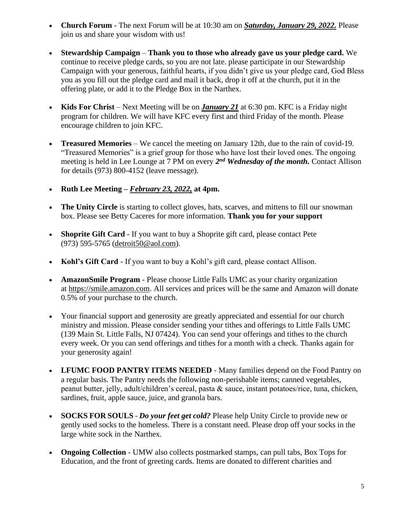- **Church Forum** The next Forum will be at 10:30 am on *Saturday, January 29, 2022.* Please join us and share your wisdom with us!
- **Stewardship Campaign Thank you to those who already gave us your pledge card.** We continue to receive pledge cards, so you are not late. please participate in our Stewardship Campaign with your generous, faithful hearts, if you didn't give us your pledge card, God Bless you as you fill out the pledge card and mail it back, drop it off at the church, put it in the offering plate, or add it to the Pledge Box in the Narthex.
- **Kids For Christ** Next Meeting will be on *January 21* at 6:30 pm. KFC is a Friday night program for children. We will have KFC every first and third Friday of the month. Please encourage children to join KFC.
- **Treasured Memories** We cancel the meeting on January 12th, due to the rain of covid-19. "Treasured Memories" is a grief group for those who have lost their loved ones. The ongoing meeting is held in Lee Lounge at 7 PM on every 2<sup>nd</sup> Wednesday of the month. Contact Allison for details (973) 800-4152 (leave message).
- **Ruth Lee Meeting –** *February 23, 2022,* **at 4pm.**
- **The Unity Circle** is starting to collect gloves, hats, scarves, and mittens to fill our snowman box. Please see Betty Caceres for more information. **Thank you for your support**
- **Shoprite Gift Card** If you want to buy a Shoprite gift card, please contact Pete (973) 595-5765 [\(detroit50@aol.com\)](mailto:detroit50@aol.com).
- **Kohl's Gift Card** If you want to buy a Kohl's gift card, please contact Allison.
- **AmazonSmile Program**  Please choose Little Falls UMC as your charity organization at https://smile.amazon.com. All services and prices will be the same and Amazon will donate 0.5% of your purchase to the church.
- Your financial support and generosity are greatly appreciated and essential for our church ministry and mission. Please consider sending your tithes and offerings to Little Falls UMC (139 Main St. Little Falls, NJ 07424). You can send your offerings and tithes to the church every week. Or you can send offerings and tithes for a month with a check. Thanks again for your generosity again!
- LFUMC FOOD PANTRY ITEMS NEEDED Many families depend on the Food Pantry on a regular basis. The Pantry needs the following non-perishable items; canned vegetables, peanut butter, jelly, adult/children's cereal, pasta & sauce, instant potatoes/rice, tuna, chicken, sardines, fruit, apple sauce, juice, and granola bars.
- **SOCKS FOR SOULS** *Do your feet get cold?* Please help Unity Circle to provide new or gently used socks to the homeless. There is a constant need. Please drop off your socks in the large white sock in the Narthex.
- **Ongoing Collection** UMW also collects postmarked stamps, can pull tabs, Box Tops for Education, and the front of greeting cards. Items are donated to different charities and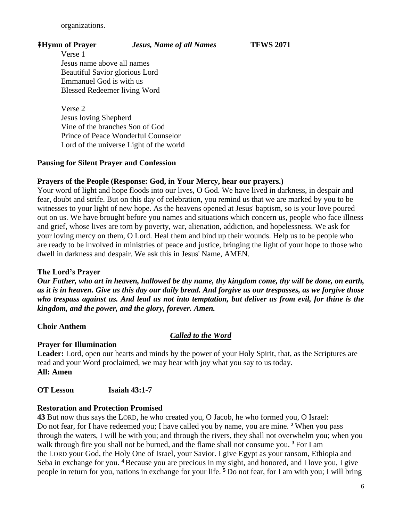organizations.

## ⭻**Hymn of Prayer** *Jesus, Name of all Names* **TFWS 2071**

Verse 1 Jesus name above all names Beautiful Savior glorious Lord Emmanuel God is with us Blessed Redeemer living Word

Verse 2 Jesus loving Shepherd Vine of the branches Son of God Prince of Peace Wonderful Counselor Lord of the universe Light of the world

## **Pausing for Silent Prayer and Confession**

## **Prayers of the People (Response: God, in Your Mercy, hear our prayers.)**

Your word of light and hope floods into our lives, O God. We have lived in darkness, in despair and fear, doubt and strife. But on this day of celebration, you remind us that we are marked by you to be witnesses to your light of new hope. As the heavens opened at Jesus' baptism, so is your love poured out on us. We have brought before you names and situations which concern us, people who face illness and grief, whose lives are torn by poverty, war, alienation, addiction, and hopelessness. We ask for your loving mercy on them, O Lord. Heal them and bind up their wounds. Help us to be people who are ready to be involved in ministries of peace and justice, bringing the light of your hope to those who dwell in darkness and despair. We ask this in Jesus' Name, AMEN.

### **The Lord's Prayer**

*Our Father, who art in heaven, hallowed be thy name, thy kingdom come, thy will be done, on earth, as it is in heaven. Give us this day our daily bread. And forgive us our trespasses, as we forgive those who trespass against us. And lead us not into temptation, but deliver us from evil, for thine is the kingdom, and the power, and the glory, forever. Amen.*

**Choir Anthem**

## *Called to the Word*

### **Prayer for Illumination**

**Leader:** Lord, open our hearts and minds by the power of your Holy Spirit, that, as the Scriptures are read and your Word proclaimed, we may hear with joy what you say to us today. **All: Amen**

### **OT Lesson Isaiah 43:1-7**

### **Restoration and Protection Promised**

**43** But now thus says the LORD, he who created you, O Jacob, he who formed you, O Israel: Do not fear, for I have redeemed you; I have called you by name, you are mine. **<sup>2</sup>** When you pass through the waters, I will be with you; and through the rivers, they shall not overwhelm you; when you walk through fire you shall not be burned, and the flame shall not consume you. **<sup>3</sup>** For I am the LORD your God, the Holy One of Israel, your Savior. I give Egypt as your ransom, Ethiopia and Seba in exchange for you. **<sup>4</sup>** Because you are precious in my sight, and honored, and I love you, I give people in return for you, nations in exchange for your life. **<sup>5</sup>** Do not fear, for I am with you; I will bring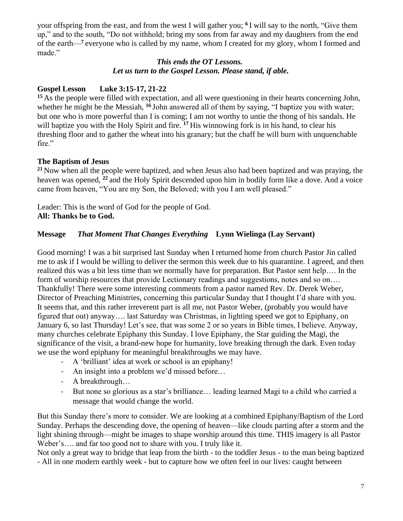your offspring from the east, and from the west I will gather you; **<sup>6</sup>** I will say to the north, "Give them up," and to the south, "Do not withhold; bring my sons from far away and my daughters from the end of the earth—**<sup>7</sup>** everyone who is called by my name, whom I created for my glory, whom I formed and made."

## *This ends the OT Lessons. Let us turn to the Gospel Lesson. Please stand, if able.*

# **Gospel Lesson Luke 3:15-17, 21-22**

<sup>15</sup> As the people were filled with expectation, and all were questioning in their hearts concerning John, whether he might be the Messiah, <sup>16</sup> John answered all of them by saying, "I baptize you with water; but one who is more powerful than I is coming; I am not worthy to untie the thong of his sandals. He will baptize you with the Holy Spirit and fire. **<sup>17</sup>** His winnowing fork is in his hand, to clear his threshing floor and to gather the wheat into his granary; but the chaff he will burn with unquenchable fire."

# **The Baptism of Jesus**

**<sup>21</sup>** Now when all the people were baptized, and when Jesus also had been baptized and was praying, the heaven was opened, **<sup>22</sup>** and the Holy Spirit descended upon him in bodily form like a dove. And a voice came from heaven, "You are my Son, the Beloved; with you I am well pleased."

Leader: This is the word of God for the people of God. **All: Thanks be to God.**

# **Message** *That Moment That Changes Everything* **Lynn Wielinga (Lay Servant)**

Good morning! I was a bit surprised last Sunday when I returned home from church Pastor Jin called me to ask if I would be willing to deliver the sermon this week due to his quarantine. I agreed, and then realized this was a bit less time than we normally have for preparation. But Pastor sent help…. In the form of worship resources that provide Lectionary readings and suggestions, notes and so on.... Thankfully! There were some interesting comments from a pastor named Rev. Dr. Derek Weber, Director of Preaching Ministries, concerning this particular Sunday that I thought I'd share with you. It seems that, and this rather irreverent part is all me, not Pastor Weber, (probably you would have figured that out) anyway…. last Saturday was Christmas, in lighting speed we got to Epiphany, on January 6, so last Thursday! Let's see, that was some 2 or so years in Bible times, I believe. Anyway, many churches celebrate Epiphany this Sunday. I love Epiphany, the Star guiding the Magi, the significance of the visit, a brand-new hope for humanity, love breaking through the dark. Even today we use the word epiphany for meaningful breakthroughs we may have.

- A 'brilliant' idea at work or school is an epiphany!
- An insight into a problem we'd missed before...
- A breakthrough…
- But none so glorious as a star's brilliance… leading learned Magi to a child who carried a message that would change the world.

But this Sunday there's more to consider. We are looking at a combined Epiphany/Baptism of the Lord Sunday. Perhaps the descending dove, the opening of heaven—like clouds parting after a storm and the light shining through—might be images to shape worship around this time. THIS imagery is all Pastor Weber's…. and far too good not to share with you. I truly like it.

Not only a great way to bridge that leap from the birth - to the toddler Jesus - to the man being baptized - All in one modern earthly week - but to capture how we often feel in our lives: caught between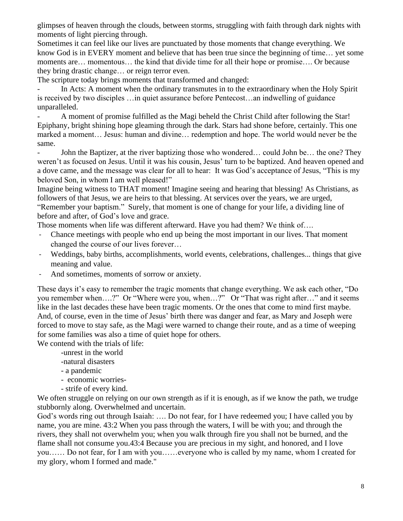glimpses of heaven through the clouds, between storms, struggling with faith through dark nights with moments of light piercing through.

Sometimes it can feel like our lives are punctuated by those moments that change everything. We know God is in EVERY moment and believe that has been true since the beginning of time… yet some moments are… momentous… the kind that divide time for all their hope or promise…. Or because they bring drastic change… or reign terror even.

The scripture today brings moments that transformed and changed:

In Acts: A moment when the ordinary transmutes in to the extraordinary when the Holy Spirit is received by two disciples …in quiet assurance before Pentecost…an indwelling of guidance unparalleled.

A moment of promise fulfilled as the Magi beheld the Christ Child after following the Star! Epiphany, bright shining hope gleaming through the dark. Stars had shone before, certainly. This one marked a moment… Jesus: human and divine… redemption and hope. The world would never be the same.

John the Baptizer, at the river baptizing those who wondered... could John be... the one? They weren't as focused on Jesus. Until it was his cousin, Jesus' turn to be baptized. And heaven opened and a dove came, and the message was clear for all to hear: It was God's acceptance of Jesus, "This is my beloved Son, in whom I am well pleased!"

Imagine being witness to THAT moment! Imagine seeing and hearing that blessing! As Christians, as followers of that Jesus, we are heirs to that blessing. At services over the years, we are urged, "Remember your baptism." Surely, that moment is one of change for your life, a dividing line of before and after, of God's love and grace.

Those moments when life was different afterward. Have you had them? We think of….

- Chance meetings with people who end up being the most important in our lives. That moment changed the course of our lives forever…
- Weddings, baby births, accomplishments, world events, celebrations, challenges... things that give meaning and value.
- And sometimes, moments of sorrow or anxiety.

These days it's easy to remember the tragic moments that change everything. We ask each other, "Do you remember when….?" Or "Where were you, when…?" Or "That was right after…" and it seems like in the last decades these have been tragic moments. Or the ones that come to mind first maybe. And, of course, even in the time of Jesus' birth there was danger and fear, as Mary and Joseph were forced to move to stay safe, as the Magi were warned to change their route, and as a time of weeping for some families was also a time of quiet hope for others.

We contend with the trials of life:

- -unrest in the world
- -natural disasters
- a pandemic
- economic worries-
- strife of every kind.

We often struggle on relying on our own strength as if it is enough, as if we know the path, we trudge stubbornly along. Overwhelmed and uncertain.

God's words ring out through Isaiah: …. Do not fear, for I have redeemed you; I have called you by name, you are mine. 43:2 When you pass through the waters, I will be with you; and through the rivers, they shall not overwhelm you; when you walk through fire you shall not be burned, and the flame shall not consume you.43:4 Because you are precious in my sight, and honored, and I love you…… Do not fear, for I am with you……everyone who is called by my name, whom I created for my glory, whom I formed and made."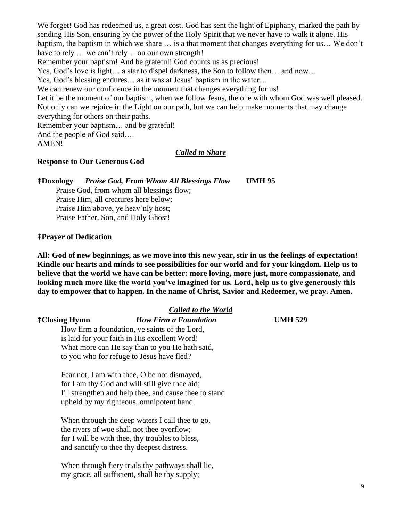We forget! God has redeemed us, a great cost. God has sent the light of Epiphany, marked the path by sending His Son, ensuring by the power of the Holy Spirit that we never have to walk it alone. His baptism, the baptism in which we share … is a that moment that changes everything for us… We don't have to rely ... we can't rely... on our own strength!

Remember your baptism! And be grateful! God counts us as precious!

Yes, God's love is light… a star to dispel darkness, the Son to follow then… and now…

Yes, God's blessing endures… as it was at Jesus' baptism in the water…

We can renew our confidence in the moment that changes everything for us!

Let it be the moment of our baptism, when we follow Jesus, the one with whom God was well pleased. Not only can we rejoice in the Light on our path, but we can help make moments that may change everything for others on their paths.

Remember your baptism… and be grateful!

And the people of God said….

AMEN!

#### *Called to Share*

#### **Response to Our Generous God**

⭻**Doxology** *Praise God, From Whom All Blessings Flow* **UMH 95**

Praise God, from whom all blessings flow; Praise Him, all creatures here below; Praise Him above, ye heav'nly host; Praise Father, Son, and Holy Ghost!

#### ⭻**Prayer of Dedication**

**All: God of new beginnings, as we move into this new year, stir in us the feelings of expectation! Kindle our hearts and minds to see possibilities for our world and for your kingdom. Help us to believe that the world we have can be better: more loving, more just, more compassionate, and looking much more like the world you've imagined for us. Lord, help us to give generously this day to empower that to happen. In the name of Christ, Savior and Redeemer, we pray. Amen.**

#### *Called to the World*

#### ⭻**Closing Hymn** *How Firm a Foundation* **UMH 529**

How firm a foundation, ye saints of the Lord, is laid for your faith in His excellent Word! What more can He say than to you He hath said, to you who for refuge to Jesus have fled?

Fear not, I am with thee, O be not dismayed, for I am thy God and will still give thee aid; I'll strengthen and help thee, and cause thee to stand upheld by my righteous, omnipotent hand.

When through the deep waters I call thee to go, the rivers of woe shall not thee overflow; for I will be with thee, thy troubles to bless, and sanctify to thee thy deepest distress.

When through fiery trials thy pathways shall lie, my grace, all sufficient, shall be thy supply;